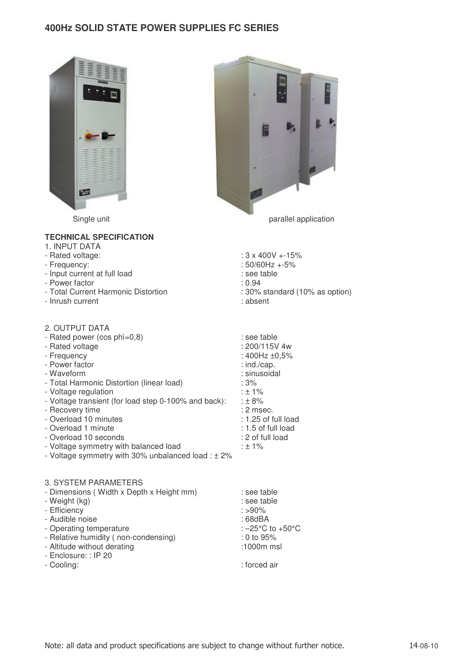## **400Hz SOLID STATE POWER SUPPLIES FC SERIES**





## **TECHNICAL SPECIFICATION**  1. INPUT DATA

| - Rated voltage:                    | $: 3 \times 400V + 15\%$       |
|-------------------------------------|--------------------------------|
| - Frequency:                        | $:50/60$ Hz $+5\%$             |
| - Input current at full load        | : see table                    |
| - Power factor                      | : 0.94                         |
| - Total Current Harmonic Distortion | : 30% standard (10% as option) |
| - Inrush current                    | : absent                       |

| 2. OUTPUT DATA                                         |                       |
|--------------------------------------------------------|-----------------------|
| - Rated power (cos phi=0,8)                            | : see table           |
| - Rated voltage                                        | : 200/115V 4w         |
| - Frequency                                            | : 400Hz ±0,5%         |
| - Power factor                                         | $:$ ind./cap.         |
| - Waveform                                             | : sinusoidal          |
| - Total Harmonic Distortion (linear load)              | : 3%                  |
| - Voltage regulation                                   | $: 1\%$               |
| - Voltage transient (for load step 0-100% and back):   | : ± 8%                |
| - Recovery time                                        | $: 2$ msec.           |
| - Overload 10 minutes                                  | $: 1.25$ of full load |
| - Overload 1 minute                                    | $: 1.5$ of full load  |
| - Overload 10 seconds                                  | : 2 of full load      |
| - Voltage symmetry with balanced load                  | $: 1\%$               |
| - Voltage symmetry with 30% unbalanced load : $\pm$ 2% |                       |

| 3. SYSTEM PARAMETERS                     |                                      |
|------------------------------------------|--------------------------------------|
| - Dimensions (Width x Depth x Height mm) | : see table                          |
| - Weight (kg)                            | : see table                          |
| - Efficiency                             | $: > 90\%$                           |
| - Audible noise                          | $:68$ d $BA$                         |
| - Operating temperature                  | : $-25^{\circ}$ C to $+50^{\circ}$ C |
| - Relative humidity (non-condensing)     | $: 0$ to 95%                         |
| - Altitude without derating              | :1000m msl                           |
| - Enclosure: : IP 20                     |                                      |
| - Cooling:                               | : forced air                         |